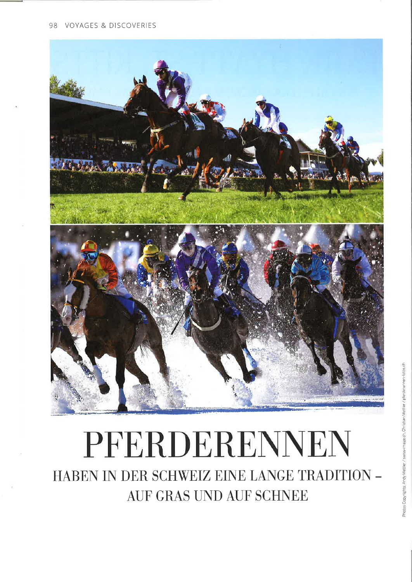#### 98 VOYAGES & DISCOVERIES



# PFERDERENNEN

HABEN IN DER SCHWEIZ EINE LANGE TRADITION -AUF GRAS UND AUF SCHNEE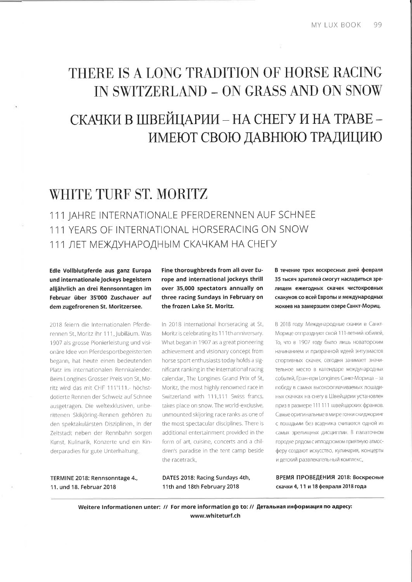# THERE IS A LONG TRADITION OF HORSE RACING IN SWITZERLAND - ON GRASS AND ON SNOW

# СКАЧКИ В ШВЕЙЦАРИИ - НА СНЕГУ И НА ТРАВЕ -ИМЕЮТ СВОЮ ДАВНЮЮ ТРАДИЦИЮ

## WHITE TURF ST. MORITZ

111 IAHRE INTERNATIONALE PFERDERENNEN AUF SCHNEE 111 YEARS OF INTERNATIONAL HORSERACING ON SNOW 111 ЛЕТ МЕЖДУНАРОДНЫМ СКАЧКАМ НА СНЕГУ

Edle Vollblutpferde aus ganz Europa und internationale Jockeys begeistern alljährlich an drei Rennsonntagen im Februar über 35'000 Zuschauer auf dem zugefrorenen St. Moritzersee.

2018 feiern die Internationalen Pferderennen St. Moritz ihr 111. Jubiläum. Was 1907 als grosse Pionierleistung und visionäre Idee von Pferdesportbegeisterten begann, hat heute einen bedeutenden Platz im internationalen Rennkalender. Beim Longines Grosser Preis von St. Moritz wird das mit CHF 111'111.- höchstdotierte Rennen der Schweiz auf Schnee ausgetragen. Die weltexklusiven, unberittenen Skikjöring-Rennen gehören zu den spektakulärsten Disziplinen. In der Zeltstadt neben der Rennbahn sorgen Kunst, Kulinarik, Konzerte und ein Kinderparadies für gute Unterhaltung.

Fine thoroughbreds from all over Europe and international jockeys thrill over 35,000 spectators annually on three racing Sundays in February on the frozen Lake St. Moritz.

In 2018 international horseracing at St Moritz is celebrating its 111th anniversary. What began in 1907 as a great pioneering achievement and visionary concept from horse sport enthusiasts today holds a significant ranking in the international racing calendar. The Longines Grand Prix of St. Moritz, the most highly renowned race in Switzerland with 111,111 Swiss francs, takes place on snow. The world-exclusive, unmounted skijoring race ranks as one of the most spectacular disciplines. There is additional entertainment provided in the form of art, cuisine, concerts and a children's paradise in the tent camp beside the racetrack.

В течение трех воскресных дней февраля 35 тысяч зрителей смогут насладиться зрелищем ежегодных скачек чистокровных скакунов со всей Европы и международных жокеев на замерзшем озере Санкт-Мориц.

В 2018 году Международные скачки в Санкт-Морице отпразднуют свой 111-летний юбилей. То, что в 1907 году было лишь новаторским начинанием и призрачной идеей энтузиастов спортивных скачек, сегодня занимает значительное место в календаре международных событий. Гран-при Longines Санкт-Морица - за победу в самых высокооплачиваемых лошадиных скачках на снегу в Швейцарии установлен приз в размере 111 111 швейцарских франков. Самые оригинальные в мире гонки скиджоринг с лошадьми без всадника считаются одной из самых зрелищных дисциплин. В палаточном городке рядом с ипподромом приятную атмосферу создают искусство, кулинария, концерты и детский развлекательный комплекс.

TERMINE 2018: Rennsonntage 4., 11. und 18. Februar 2018

DATES 2018: Racing Sundays 4th, 11th and 18th February 2018

ВРЕМЯ ПРОВЕДЕНИЯ 2018: Воскресные скачки 4, 11 и 18 февраля 2018 года

Weitere Informationen unter: // For more information go to: // Детальная информация по адресу: www.whiteturf.ch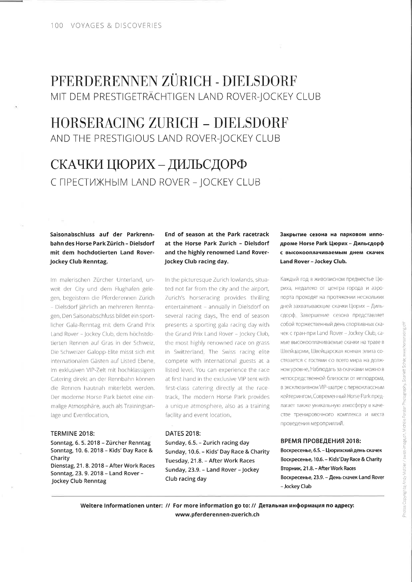## PFERDERENNEN ZÜRICH - DIELSDORF MIT DEM PRESTIGETRÄCHTIGEN LAND ROVER-JOCKEY CLUB

## HORSERACINC ZIJRICH - DITLSDORF AND THE PRESTIGIOUS LAND ROVER-JOCKEY CLUB

# СКАЧКИ ЦЮРИХ - ДИЛЬСДОРФ C TIPECTU XHBIM LAND ROVER - JOCKEY CLUB

### Saisonabschluss auf der Parkrennbahn des Horse Park Zürich - Dielsdorf mit dem hochdotierten Land Rover-Jockey Club Renntag.

lm malerischen Zürcher Unterland, unweit der City und dem Flughafen gelegen, begeistern die Pferderennen Zürich Dielsdorf 1ährlich an mehreren Renntagen. Den Saisonabschluss bildet ein sportlicher Gala-Renntag mit dem Grand Prix Land Rover - Jockey Club, dem höchstdotierten Rennen auf Gras in der Schweiz. Die Schweizer Galopp Elite misst sich mit internationalen Gästen auf Listed Ebene. Im exklusiven VIP-Zelt mit hochklassigem Catering direkt an der Rennbahn können die Rennen hautnah miterlebt werden. Der moderne Horse Park bietet eine einmalige Atmosphäre, auch als Trainingsan-Iage und Eventlocation.

#### TERMINE 2018:

Sonntag, 6. 5. 2018 - Zürcher Renntag Sonntag, 10.6.2018 - Kids'Day Race & Charity Dienstag, 21.8.2018 - After Work Races Sonntag,23.9.2018 - Land Rover-Jockey Club Renntag

#### End of season at the Park racetrack at the Horse Park Zurich - Dielsdorf and the highly renowned Land Rover-Jockey Club racing day.

ln the picturesque Zurich lowlands, situated not far from the city and the airport, Zurich's horseracing provides thrilling entertainment - annually in Dielsdorf on several racing days. The end of season presents a sporting gala racing day with the Grand Prix Land Rover - Jockey Club, the most highly renowned race on grass in Switzerland. The Swiss racing elite compete with international guests at a listed level. You can experience the race at first hand in the exclusive VIP tent with first-class catering directly at the race track. The modern Horse Park provides a unique atmosphere, also as a training facility and event location.

#### DATES 2018:

Sunday, 6.5. - Zurich racing day Sunday, 10.6. - Kids' Day Race & Charity Tuesday, 21.8. - After Work Races Sunday, 23.9. - Land Rover -Jockey Club racing day

#### Закрытие сезона на парковом ипподроме Horse Park Цюрих - Дильсдорф с высокооплачиваемым днем скачек Land Rover - Jockey Club.

Каждый год в живописном предместье Цюриха, недалеко от центра города и аэропорта проходят на протяжении нескольких дней захватывающие скачки Цюрих - Дильсдорф. Завершение сезона представляет собой торжественный день спортивных скачек с гран-при Land Rover - Jockey Club, са-Mble высокооплачиваемые скачки на траве в Швейцарии. Швейцарская конная элита состязается с гостями со всего мира на должном уровне. Наблюдать за скачками можно в непосредственной близости от ипподрома, в эксклюзивном VIP-шатре с первоклассным кейтерингом. Современный Horse Park предлагает также уникальную атмосферу в качестве тренировочного комплекса и места проведения мероприятий.

#### ВРЕМЯ ПРОВЕДЕНИЯ 2018:

Воскресенье, 6.5. - Цюрихский день скачек Bocкpeceнье, 10.6. - Kids' Day Race & Charity Вторник, 21.8. - After Work Races Bocкpeceнье, 23.9. - День скачек Land Rover -Jockey Club

Weitere Informationen unter: // For more information go to: // Детальная информация по адресу: www.pferderennen-zuerich.ch